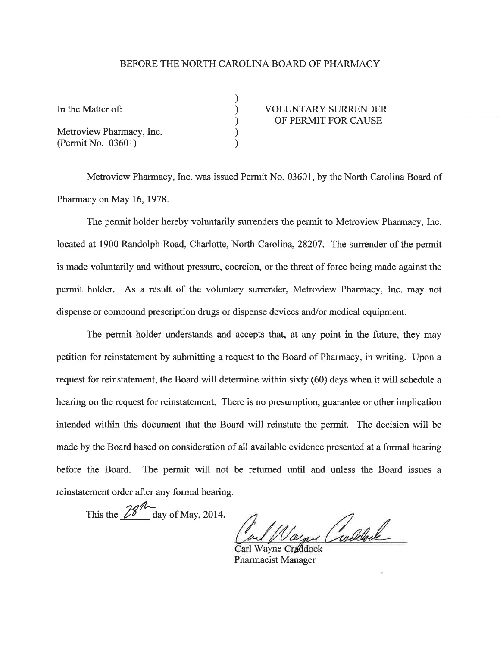## BEFORE THE NORTH CAROLINA BOARD OF PHARMACY

| In the Matter of:        | <b>VOLUNTARY SURRENDER</b><br>OF PERMIT FOR CAUSE |
|--------------------------|---------------------------------------------------|
| Metroview Pharmacy, Inc. |                                                   |
| (Permit No. 03601)       |                                                   |

Metroview Pharrnacy, Inc. was issued Permit No. 03601, by the North Carolina Board of Pharmacy on May 16,1978.

The permit holder hereby voluntarily surrenders the permit to Metroview Pharmacy, Inc. located at 1900 Randolph Road, Charlotte, North Carolina, 28207. The surrender of the permit is made voluntarily and without pressure, coercion, or the threat of force being made against the permit holder. As a result of the vohurtary surrender, Metroview Pharmacy, Inc. may not dispense or compound prescription drugs or dispense devices and/or medical equipment.

The permit holder understands and accepts that, at any point in the future, they may petition for reinstatement by submitting a request to the Board of Pharmacy, in writing. Upon a request for reinstatement, the Board will determine within sixty (60) days when it will schedule a hearing on the request for reinstatement. There is no presumption, guarantee or other implication intended within this document that the Board will reinstate the permit. The decision will be made by the Board based on consideration of all available evidence presented at a formal hearing before the Board. The permit will not be retumed until and unless the Board issues <sup>a</sup> reinstatement order after any formal hearing.

This the  $\frac{28\pi}{\text{day of May, 2014.}}$ 

Wayne Pharmacist Manager